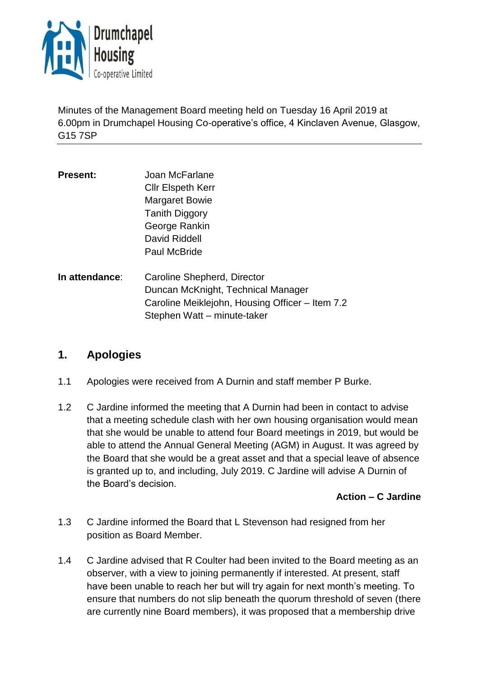

Minutes of the Management Board meeting held on Tuesday 16 April 2019 at 6.00pm in Drumchapel Housing Co-operative's office, 4 Kinclaven Avenue, Glasgow, G15 7SP

- **Present:** Joan McFarlane Cllr Elspeth Kerr Margaret Bowie Tanith Diggory George Rankin David Riddell Paul McBride
- **In attendance**: Caroline Shepherd, Director Duncan McKnight, Technical Manager Caroline Meiklejohn, Housing Officer – Item 7.2 Stephen Watt – minute-taker

# **1. Apologies**

- 1.1 Apologies were received from A Durnin and staff member P Burke.
- 1.2 C Jardine informed the meeting that A Durnin had been in contact to advise that a meeting schedule clash with her own housing organisation would mean that she would be unable to attend four Board meetings in 2019, but would be able to attend the Annual General Meeting (AGM) in August. It was agreed by the Board that she would be a great asset and that a special leave of absence is granted up to, and including, July 2019. C Jardine will advise A Durnin of the Board's decision.

## **Action – C Jardine**

- 1.3 C Jardine informed the Board that L Stevenson had resigned from her position as Board Member.
- 1.4 C Jardine advised that R Coulter had been invited to the Board meeting as an observer, with a view to joining permanently if interested. At present, staff have been unable to reach her but will try again for next month's meeting. To ensure that numbers do not slip beneath the quorum threshold of seven (there are currently nine Board members), it was proposed that a membership drive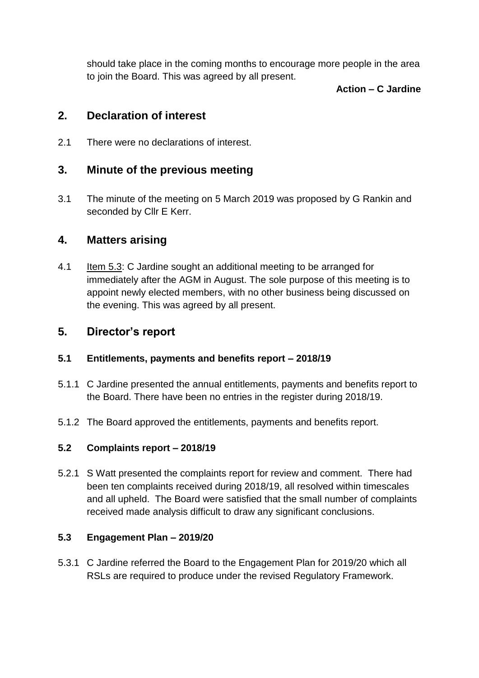should take place in the coming months to encourage more people in the area to join the Board. This was agreed by all present.

#### **Action – C Jardine**

## **2. Declaration of interest**

2.1 There were no declarations of interest.

# **3. Minute of the previous meeting**

3.1 The minute of the meeting on 5 March 2019 was proposed by G Rankin and seconded by Cllr E Kerr.

## **4. Matters arising**

4.1 Item 5.3: C Jardine sought an additional meeting to be arranged for immediately after the AGM in August. The sole purpose of this meeting is to appoint newly elected members, with no other business being discussed on the evening. This was agreed by all present.

# **5. Director's report**

## **5.1 Entitlements, payments and benefits report – 2018/19**

- 5.1.1 C Jardine presented the annual entitlements, payments and benefits report to the Board. There have been no entries in the register during 2018/19.
- 5.1.2 The Board approved the entitlements, payments and benefits report.

## **5.2 Complaints report – 2018/19**

5.2.1 S Watt presented the complaints report for review and comment. There had been ten complaints received during 2018/19, all resolved within timescales and all upheld. The Board were satisfied that the small number of complaints received made analysis difficult to draw any significant conclusions.

## **5.3 Engagement Plan – 2019/20**

5.3.1 C Jardine referred the Board to the Engagement Plan for 2019/20 which all RSLs are required to produce under the revised Regulatory Framework.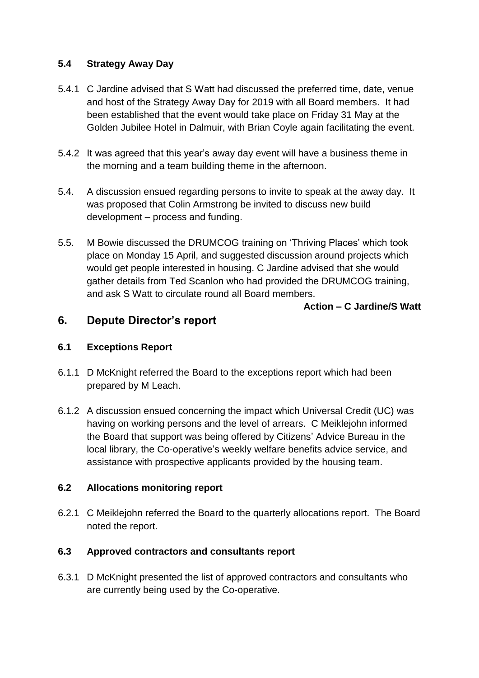## **5.4 Strategy Away Day**

- 5.4.1 C Jardine advised that S Watt had discussed the preferred time, date, venue and host of the Strategy Away Day for 2019 with all Board members. It had been established that the event would take place on Friday 31 May at the Golden Jubilee Hotel in Dalmuir, with Brian Coyle again facilitating the event.
- 5.4.2 It was agreed that this year's away day event will have a business theme in the morning and a team building theme in the afternoon.
- 5.4. A discussion ensued regarding persons to invite to speak at the away day. It was proposed that Colin Armstrong be invited to discuss new build development – process and funding.
- 5.5. M Bowie discussed the DRUMCOG training on 'Thriving Places' which took place on Monday 15 April, and suggested discussion around projects which would get people interested in housing. C Jardine advised that she would gather details from Ted Scanlon who had provided the DRUMCOG training, and ask S Watt to circulate round all Board members.

**Action – C Jardine/S Watt** 

# **6. Depute Director's report**

## **6.1 Exceptions Report**

- 6.1.1 D McKnight referred the Board to the exceptions report which had been prepared by M Leach.
- 6.1.2 A discussion ensued concerning the impact which Universal Credit (UC) was having on working persons and the level of arrears. C Meiklejohn informed the Board that support was being offered by Citizens' Advice Bureau in the local library, the Co-operative's weekly welfare benefits advice service, and assistance with prospective applicants provided by the housing team.

## **6.2 Allocations monitoring report**

6.2.1 C Meiklejohn referred the Board to the quarterly allocations report. The Board noted the report.

## **6.3 Approved contractors and consultants report**

6.3.1 D McKnight presented the list of approved contractors and consultants who are currently being used by the Co-operative.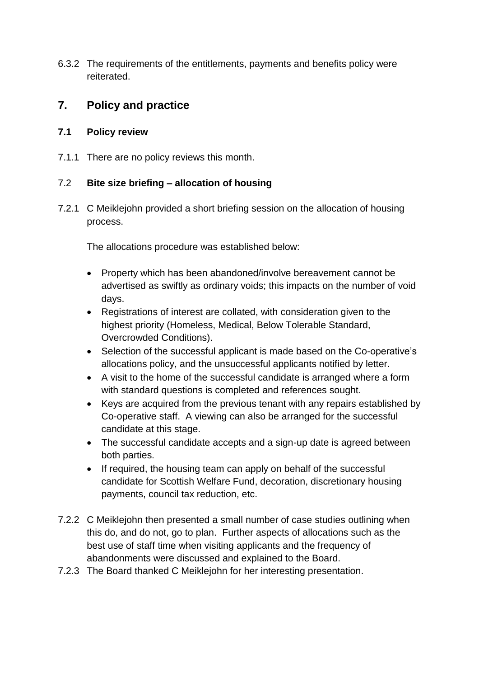6.3.2 The requirements of the entitlements, payments and benefits policy were reiterated.

# **7. Policy and practice**

## **7.1 Policy review**

7.1.1 There are no policy reviews this month.

## 7.2 **Bite size briefing – allocation of housing**

7.2.1 C Meiklejohn provided a short briefing session on the allocation of housing process.

The allocations procedure was established below:

- Property which has been abandoned/involve bereavement cannot be advertised as swiftly as ordinary voids; this impacts on the number of void days.
- Registrations of interest are collated, with consideration given to the highest priority (Homeless, Medical, Below Tolerable Standard, Overcrowded Conditions).
- Selection of the successful applicant is made based on the Co-operative's allocations policy, and the unsuccessful applicants notified by letter.
- A visit to the home of the successful candidate is arranged where a form with standard questions is completed and references sought.
- Keys are acquired from the previous tenant with any repairs established by Co-operative staff. A viewing can also be arranged for the successful candidate at this stage.
- The successful candidate accepts and a sign-up date is agreed between both parties.
- If required, the housing team can apply on behalf of the successful candidate for Scottish Welfare Fund, decoration, discretionary housing payments, council tax reduction, etc.
- 7.2.2 C Meiklejohn then presented a small number of case studies outlining when this do, and do not, go to plan. Further aspects of allocations such as the best use of staff time when visiting applicants and the frequency of abandonments were discussed and explained to the Board.
- 7.2.3 The Board thanked C Meiklejohn for her interesting presentation.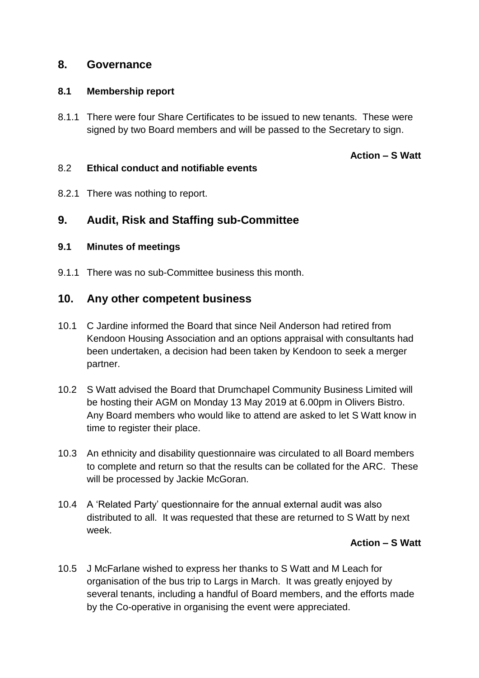## **8. Governance**

#### **8.1 Membership report**

8.1.1 There were four Share Certificates to be issued to new tenants. These were signed by two Board members and will be passed to the Secretary to sign.

## **Action – S Watt**

#### 8.2 **Ethical conduct and notifiable events**

8.2.1 There was nothing to report.

# **9. Audit, Risk and Staffing sub-Committee**

#### **9.1 Minutes of meetings**

9.1.1 There was no sub-Committee business this month.

## **10. Any other competent business**

- 10.1 C Jardine informed the Board that since Neil Anderson had retired from Kendoon Housing Association and an options appraisal with consultants had been undertaken, a decision had been taken by Kendoon to seek a merger partner.
- 10.2 S Watt advised the Board that Drumchapel Community Business Limited will be hosting their AGM on Monday 13 May 2019 at 6.00pm in Olivers Bistro. Any Board members who would like to attend are asked to let S Watt know in time to register their place.
- 10.3 An ethnicity and disability questionnaire was circulated to all Board members to complete and return so that the results can be collated for the ARC. These will be processed by Jackie McGoran.
- 10.4 A 'Related Party' questionnaire for the annual external audit was also distributed to all. It was requested that these are returned to S Watt by next week.

#### **Action – S Watt**

10.5 J McFarlane wished to express her thanks to S Watt and M Leach for organisation of the bus trip to Largs in March. It was greatly enjoyed by several tenants, including a handful of Board members, and the efforts made by the Co-operative in organising the event were appreciated.